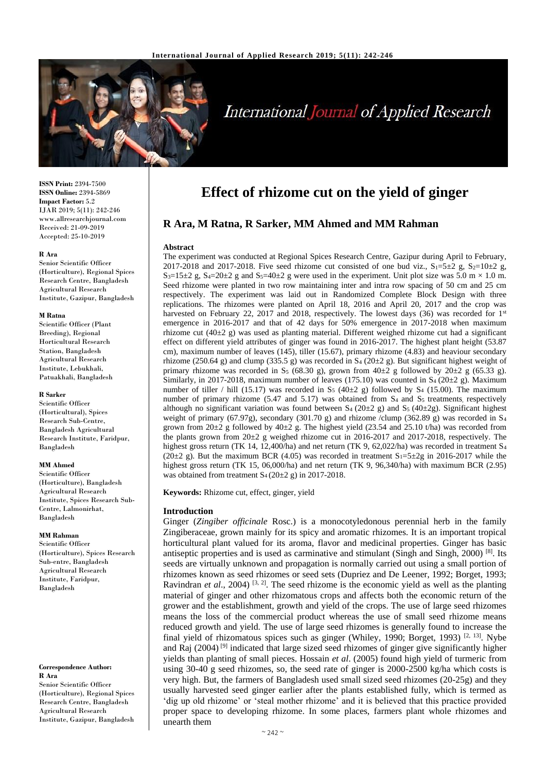

# **International Journal of Applied Research**

**ISSN Print:** 2394-7500 **ISSN Online:** 2394-5869 **Impact Factor:** 5.2 IJAR 2019; 5(11): 242-246 www.allresearchjournal.com Received: 21-09-2019 Accepted: 25-10-2019

#### **R Ara**

Senior Scientific Officer (Horticulture), Regional Spices Research Centre, Bangladesh Agricultural Research Institute, Gazipur, Bangladesh

#### **M Ratna**

Scientific Officer (Plant Breeding), Regional Horticultural Research Station, Bangladesh Agricultural Research Institute, Lebukhali, Patuakhali, Bangladesh

#### **R Sarker**

Scientific Officer (Horticultural), Spices Research Sub-Centre, Bangladesh Agricultural Research Institute, Faridpur, Bangladesh

## **MM Ahmed**

Scientific Officer (Horticulture), Bangladesh Agricultural Research Institute, Spices Research Sub-Centre, Lalmonirhat, Bangladesh

#### **MM Rahman**

Scientific Officer (Horticulture), Spices Research Sub-entre, Bangladesh Agricultural Research Institute, Faridpur, Bangladesh

**Correspondence Author: R Ara**

Senior Scientific Officer (Horticulture), Regional Spices Research Centre, Bangladesh Agricultural Research Institute, Gazipur, Bangladesh

# **Effect of rhizome cut on the yield of ginger**

# **R Ara, M Ratna, R Sarker, MM Ahmed and MM Rahman**

#### **Abstract**

The experiment was conducted at Regional Spices Research Centre, Gazipur during April to February, 2017-2018 and 2017-2018. Five seed rhizome cut consisted of one bud viz.,  $S_1=5\pm 2$  g,  $S_2=10\pm 2$  g,  $S_3=15\pm2$  g,  $S_4=20\pm2$  g and  $S_5=40\pm2$  g were used in the experiment. Unit plot size was 5.0 m  $\times$  1.0 m. Seed rhizome were planted in two row maintaining inter and intra row spacing of 50 cm and 25 cm respectively. The experiment was laid out in Randomized Complete Block Design with three replications. The rhizomes were planted on April 18, 2016 and April 20, 2017 and the crop was harvested on February 22, 2017 and 2018, respectively. The lowest days (36) was recorded for 1<sup>st</sup> emergence in 2016-2017 and that of 42 days for 50% emergence in 2017-2018 when maximum rhizome cut (40±2 g) was used as planting material. Different weighed rhizome cut had a significant effect on different yield attributes of ginger was found in 2016-2017. The highest plant height (53.87 cm), maximum number of leaves (145), tiller (15.67), primary rhizome (4.83) and heaviour secondary rhizome (250.64 g) and clump (335.5 g) was recorded in S<sub>4</sub> (20 $\pm$ 2 g). But significant highest weight of primary rhizome was recorded in S<sub>5</sub> (68.30 g), grown from  $40\pm 2$  g followed by  $20\pm 2$  g (65.33 g). Similarly, in 2017-2018, maximum number of leaves (175.10) was counted in  $S_4$  (20 $\pm$ 2 g). Maximum number of tiller / hill (15.17) was recorded in S<sub>5</sub> (40 $\pm$ 2 g) followed by S<sub>4</sub> (15.00). The maximum number of primary rhizome (5.47 and 5.17) was obtained from  $S_4$  and  $S_5$  treatments, respectively although no significant variation was found between  $S_4$  (20 $\pm$ 2 g) and  $S_5$  (40 $\pm$ 2g). Significant highest weight of primary (67.97g), secondary (301.70 g) and rhizome /clump (362.89 g) was recorded in S<sub>4</sub> grown from 20 $\pm$ 2 g followed by 40 $\pm$ 2 g. The highest yield (23.54 and 25.10 t/ha) was recorded from the plants grown from  $20\pm2$  g weighed rhizome cut in 2016-2017 and 2017-2018, respectively. The highest gross return (TK 14, 12,400/ha) and net return (TK 9, 62,022/ha) was recorded in treatment S<sub>4</sub> (20 $\pm$ 2 g). But the maximum BCR (4.05) was recorded in treatment S<sub>1</sub>=5 $\pm$ 2g in 2016-2017 while the highest gross return (TK 15, 06,000/ha) and net return (TK 9, 96,340/ha) with maximum BCR (2.95) was obtained from treatment  $S_4 (20 \pm 2 \text{ g})$  in 2017-2018.

**Keywords:** Rhizome cut, effect, ginger, yield

#### **Introduction**

Ginger (*Zingiber officinale* Rosc.) is a monocotyledonous perennial herb in the family Zingiberaceae, grown mainly for its spicy and aromatic rhizomes. It is an important tropical horticultural plant valued for its aroma, flavor and medicinal properties. Ginger has basic antiseptic properties and is used as carminative and stimulant (Singh and Singh, 2000) [8]. Its seeds are virtually unknown and propagation is normally carried out using a small portion of rhizomes known as seed rhizomes or seed sets (Dupriez and De Leener, 1992; Borget, 1993; Ravindran *et al.*, 2004)<sup>[3, 2]</sup>. The seed rhizome is the economic yield as well as the planting material of ginger and other rhizomatous crops and affects both the economic return of the grower and the establishment, growth and yield of the crops. The use of large seed rhizomes means the loss of the commercial product whereas the use of small seed rhizome means reduced growth and yield. The use of large seed rhizomes is generally found to increase the final yield of rhizomatous spices such as ginger (Whiley, 1990; Borget, 1993)<sup>[2, 13]</sup>. Nybe and Raj  $(2004)$ <sup>[9]</sup> indicated that large sized seed rhizomes of ginger give significantly higher yields than planting of small pieces. Hossain *et al*. (2005) found high yield of turmeric from using 30-40 g seed rhizomes, so, the seed rate of ginger is 2000-2500 kg/ha which costs is very high. But, the farmers of Bangladesh used small sized seed rhizomes (20-25g) and they usually harvested seed ginger earlier after the plants established fully, which is termed as 'dig up old rhizome' or 'steal mother rhizome' and it is believed that this practice provided proper space to developing rhizome. In some places, farmers plant whole rhizomes and unearth them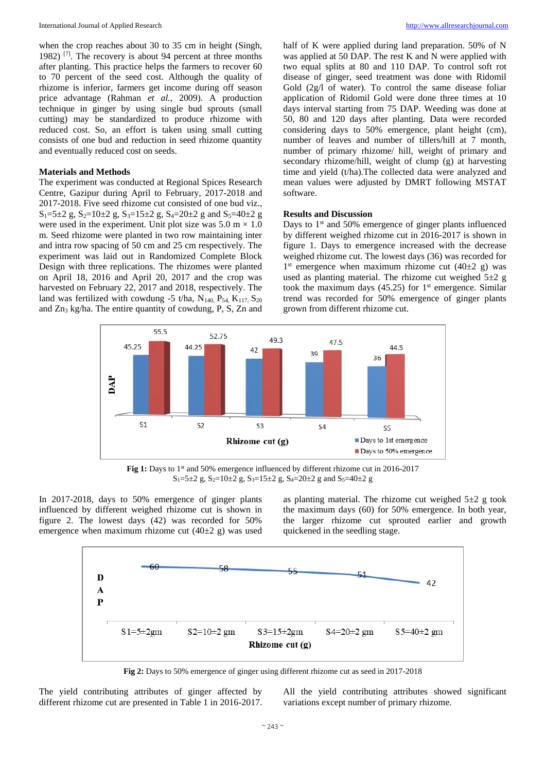when the crop reaches about 30 to 35 cm in height (Singh, 1982) [7]. The recovery is about 94 percent at three months after planting. This practice helps the farmers to recover 60 to 70 percent of the seed cost. Although the quality of rhizome is inferior, farmers get income during off season price advantage (Rahman *et al.,* 2009). A production technique in ginger by using single bud sprouts (small cutting) may be standardized to produce rhizome with reduced cost. So, an effort is taken using small cutting consists of one bud and reduction in seed rhizome quantity and eventually reduced cost on seeds.

## **Materials and Methods**

The experiment was conducted at Regional Spices Research Centre, Gazipur during April to February, 2017-2018 and 2017-2018. Five seed rhizome cut consisted of one bud viz.,  $S_1=5\pm 2$  g,  $S_2=10\pm 2$  g,  $S_3=15\pm 2$  g,  $S_4=20\pm 2$  g and  $S_5=40\pm 2$  g were used in the experiment. Unit plot size was  $5.0 \text{ m} \times 1.0$ m. Seed rhizome were planted in two row maintaining inter and intra row spacing of 50 cm and 25 cm respectively. The experiment was laid out in Randomized Complete Block Design with three replications. The rhizomes were planted on April 18, 2016 and April 20, 2017 and the crop was harvested on February 22, 2017 and 2018, respectively. The land was fertilized with cowdung -5 t/ha,  $N_{140}$ ,  $P_{54}$ ,  $K_{117}$ ,  $S_{20}$ and Zn<sup>3</sup> kg/ha. The entire quantity of cowdung, P, S, Zn and half of K were applied during land preparation. 50% of N was applied at 50 DAP. The rest K and N were applied with two equal splits at 80 and 110 DAP. To control soft rot disease of ginger, seed treatment was done with Ridomil Gold (2g/l of water). To control the same disease foliar application of Ridomil Gold were done three times at 10 days interval starting from 75 DAP. Weeding was done at 50, 80 and 120 days after planting. Data were recorded considering days to 50% emergence, plant height (cm), number of leaves and number of tillers/hill at 7 month, number of primary rhizome/ hill, weight of primary and secondary rhizome/hill, weight of clump (g) at harvesting time and yield (t/ha).The collected data were analyzed and mean values were adjusted by DMRT following MSTAT software.

#### **Results and Discussion**

Days to 1<sup>st</sup> and 50% emergence of ginger plants influenced by different weighed rhizome cut in 2016-2017 is shown in figure 1. Days to emergence increased with the decrease weighed rhizome cut. The lowest days (36) was recorded for  $1<sup>st</sup>$  emergence when maximum rhizome cut (40 $\pm$ 2 g) was used as planting material. The rhizome cut weighed  $5\pm 2$  g took the maximum days  $(45.25)$  for  $1<sup>st</sup>$  emergence. Similar trend was recorded for 50% emergence of ginger plants grown from different rhizome cut.



Fig 1: Days to 1<sup>st</sup> and 50% emergence influenced by different rhizome cut in 2016-2017  $S_1=5\pm 2$  g,  $S_2=10\pm 2$  g,  $S_3=15\pm 2$  g,  $S_4=20\pm 2$  g and  $S_5=40\pm 2$  g

In 2017-2018, days to 50% emergence of ginger plants influenced by different weighed rhizome cut is shown in figure 2. The lowest days (42) was recorded for 50% emergence when maximum rhizome cut  $(40\pm2)$  g) was used as planting material. The rhizome cut weighed  $5\pm 2$  g took the maximum days (60) for 50% emergence. In both year, the larger rhizome cut sprouted earlier and growth quickened in the seedling stage.



**Fig 2:** Days to 50% emergence of ginger using different rhizome cut as seed in 2017-2018

The yield contributing attributes of ginger affected by different rhizome cut are presented in Table 1 in 2016-2017.

All the yield contributing attributes showed significant variations except number of primary rhizome.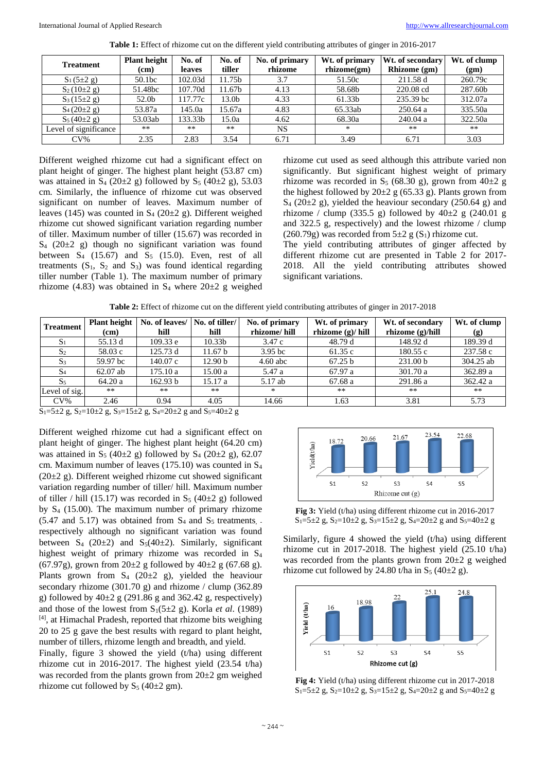| <b>Treatment</b>      | <b>Plant height</b> | No. of        | No. of            | No. of primary | Wt. of primary    | Wt. of secondary | Wt. of clump |
|-----------------------|---------------------|---------------|-------------------|----------------|-------------------|------------------|--------------|
|                       | (cm)                | <b>leaves</b> | tiller            | rhizome        | $r$ hizome $(gm)$ | Rhizome (gm)     | (gm)         |
| $S_1(5\pm 2 g)$       | 50.1bc              | 102.03d       | 11.75b            | 3.7            | 51.50c            | 211.58 d         | 260.79c      |
| $S_2(10\pm 2 g)$      | 51.48bc             | 107.70d       | 11.67b            | 4.13           | 58.68b            | 220.08 cd        | 287.60b      |
| $S_3(15\pm2 g)$       | 52.0b               | 17.77c        | 13.0 <sub>b</sub> | 4.33           | 61.33b            | 235.39 bc        | 312.07a      |
| $S_4(20\pm 2 g)$      | 53.87a              | 145.0a        | 15.67a            | 4.83           | 65.33ab           | 250.64a          | 335.50a      |
| $S_5(40\pm 2 g)$      | 53.03ab             | 133.33b       | 15.0a             | 4.62           | 68.30a            | 240.04a          | 322.50a      |
| Level of significance | $***$               | **            | $***$             | <b>NS</b>      | $*$               | $**$             | $**$         |
| $CV\%$                | 2.35                | 2.83          | 3.54              | 6.71           | 3.49              | 6.71             | 3.03         |

**Table 1:** Effect of rhizome cut on the different yield contributing attributes of ginger in 2016-2017

Different weighed rhizome cut had a significant effect on plant height of ginger. The highest plant height (53.87 cm) was attained in  $S_4$  (20 $\pm$ 2 g) followed by  $S_5$  (40 $\pm$ 2 g), 53.03 cm. Similarly, the influence of rhizome cut was observed significant on number of leaves. Maximum number of leaves (145) was counted in  $S_4$  (20 $\pm$ 2 g). Different weighed rhizome cut showed significant variation regarding number of tiller. Maximum number of tiller (15.67) was recorded in  $S_4$  (20 $\pm$ 2 g) though no significant variation was found between  $S_4$  (15.67) and  $S_5$  (15.0). Even, rest of all treatments  $(S_1, S_2 \text{ and } S_3)$  was found identical regarding tiller number (Table 1). The maximum number of primary rhizome (4.83) was obtained in  $S_4$  where  $20\pm 2$  g weighed rhizome cut used as seed although this attribute varied non significantly. But significant highest weight of primary rhizome was recorded in S<sub>5</sub> (68.30 g), grown from  $40\pm 2$  g the highest followed by  $20\pm 2$  g (65.33 g). Plants grown from  $S_4$  (20 $\pm$ 2 g), yielded the heaviour secondary (250.64 g) and rhizome / clump (335.5 g) followed by  $40\pm 2$  g (240.01 g) and 322.5 g, respectively) and the lowest rhizome / clump (260.79g) was recorded from  $5\pm 2$  g (S<sub>1</sub>) rhizome cut.

The yield contributing attributes of ginger affected by different rhizome cut are presented in Table 2 for 2017- 2018. All the yield contributing attributes showed significant variations.

**Table 2:** Effect of rhizome cut on the different yield contributing attributes of ginger in 2017-2018

| <b>Treatment</b> | Plant height | No. of leaves/   No. of tiller/ |                    | No. of primary     | Wt. of primary     | Wt. of secondary   | Wt. of clump |
|------------------|--------------|---------------------------------|--------------------|--------------------|--------------------|--------------------|--------------|
|                  | (cm)         | hill                            | hill               | rhizome/hill       | rhizome $(g)/hill$ | rhizome $(g)/hill$ | (g)          |
| $S_1$            | 55.13 d      | 109.33 e                        | 10.33 <sub>b</sub> | 3.47 c             | 48.79 d            | 148.92 d           | 189.39 d     |
| S <sub>2</sub>   | 58.03 c      | 125.73 d                        | 11.67 b            | 3.95 <sub>bc</sub> | 61.35 c            | 180.55c            | 237.58 c     |
| S <sub>3</sub>   | 59.97 bc     | 140.07c                         | 12.90 b            | $4.60$ abc         | 67.25 b            | 231.00 b           | 304.25 ab    |
| S <sub>4</sub>   | $62.07$ ab   | 175.10a                         | 15.00 a            | 5.47 a             | 67.97 a            | 301.70 a           | 362.89 a     |
| S <sub>5</sub>   | 64.20a       | 162.93 b                        | 15.17 a            | 5.17 ab            | 67.68 a            | 291.86 a           | 362.42 a     |
| Level of sig.    | $**$         | $**$                            | $***$              | $*$                | $**$               | $***$              | $**$         |
| $CV\%$           | 2.46         | 0.94                            | 4.05               | 14.66              | 1.63               | 3.81               | 5.73         |

 $S_1=5\pm 2$  g,  $S_2=10\pm 2$  g,  $S_3=15\pm 2$  g,  $S_4=20\pm 2$  g and  $S_5=40\pm 2$  g

Different weighed rhizome cut had a significant effect on plant height of ginger. The highest plant height (64.20 cm) was attained in S<sub>5</sub> (40 $\pm$ 2 g) followed by S<sub>4</sub> (20 $\pm$ 2 g), 62.07 cm. Maximum number of leaves (175.10) was counted in S<sup>4</sup>  $(20\pm2 \text{ g})$ . Different weighed rhizome cut showed significant variation regarding number of tiller/ hill. Maximum number of tiller / hill (15.17) was recorded in  $S_5$  (40 $\pm$ 2 g) followed by  $S_4$  (15.00). The maximum number of primary rhizome  $(5.47 \text{ and } 5.17)$  was obtained from  $S_4$  and  $S_5$  treatments, respectively although no significant variation was found between  $S_4$  (20 $\pm$ 2) and  $S_5$ (40 $\pm$ 2). Similarly, significant highest weight of primary rhizome was recorded in S<sup>4</sup> (67.97g), grown from  $20\pm 2$  g followed by  $40\pm 2$  g (67.68 g). Plants grown from  $S_4$  (20 $\pm$ 2 g), yielded the heaviour secondary rhizome (301.70 g) and rhizome / clump (362.89 g) followed by  $40\pm 2$  g (291.86 g and 362.42 g, respectively) and those of the lowest from  $S_1(5\pm 2 \text{ g})$ . Korla *et al.* (1989) [4], at Himachal Pradesh, reported that rhizome bits weighing 20 to 25 g gave the best results with regard to plant height, number of tillers, rhizome length and breadth, and yield.

Finally, figure 3 showed the yield (t/ha) using different rhizome cut in 2016-2017. The highest yield (23.54 t/ha) was recorded from the plants grown from 20±2 gm weighed rhizome cut followed by  $S_5$  (40 $\pm$ 2 gm).



**Fig 3:** Yield (t/ha) using different rhizome cut in 2016-2017  $S_1=5\pm 2$  g,  $S_2=10\pm 2$  g,  $S_3=15\pm 2$  g,  $S_4=20\pm 2$  g and  $S_5=40\pm 2$  g

Similarly, figure 4 showed the yield (t/ha) using different rhizome cut in 2017-2018. The highest yield (25.10 t/ha) was recorded from the plants grown from  $20\pm 2$  g weighed rhizome cut followed by 24.80 t/ha in  $S_5$  (40 $\pm$ 2 g).



**Fig 4:** Yield (t/ha) using different rhizome cut in 2017-2018  $S_1=5\pm 2$  g,  $S_2=10\pm 2$  g,  $S_3=15\pm 2$  g,  $S_4=20\pm 2$  g and  $S_5=40\pm 2$  g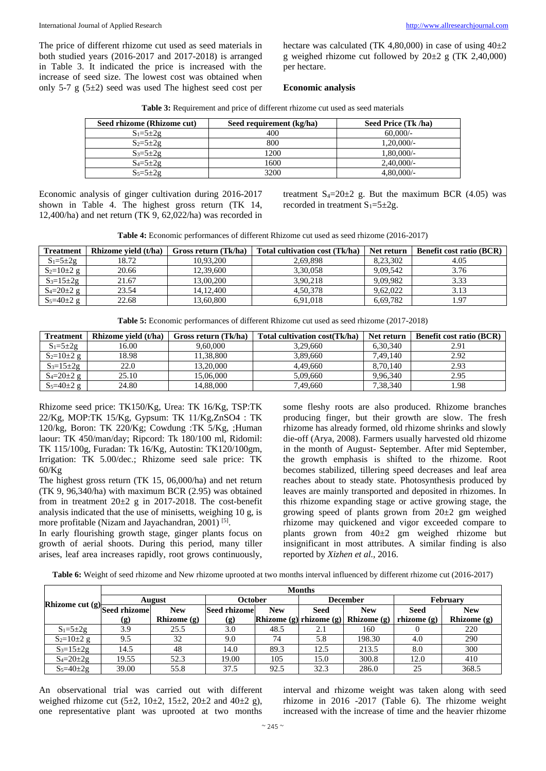The price of different rhizome cut used as seed materials in both studied years (2016-2017 and 2017-2018) is arranged in Table 3. It indicated the price is increased with the increase of seed size. The lowest cost was obtained when only 5-7 g (5±2) seed was used The highest seed cost per hectare was calculated (TK 4,80,000) in case of using  $40\pm2$ g weighed rhizome cut followed by  $20\pm 2$  g (TK 2,40,000) per hectare.

#### **Economic analysis**

| <b>Table 3:</b> Requirement and price of different rhizome cut used as seed materials |  |  |
|---------------------------------------------------------------------------------------|--|--|
|---------------------------------------------------------------------------------------|--|--|

| Seed rhizome (Rhizome cut) | Seed requirement (kg/ha) | Seed Price (Tk /ha) |
|----------------------------|--------------------------|---------------------|
| $S_1 = 5 \pm 2g$           | 400                      | 60,000/             |
| $S_2 = 5 \pm 2g$           | 800                      | $1.20,000/-$        |
| $S_3 = 5 \pm 2g$           | 1200                     | $1,80,000/-$        |
| $S_4 = 5 \pm 2g$           | 1600                     | $2,40,000/$ -       |
| $S_5=5\pm 2g$              | 3200                     | 4.80,000/           |

Economic analysis of ginger cultivation during 2016-2017 shown in Table 4. The highest gross return (TK 14, 12,400/ha) and net return (TK 9, 62,022/ha) was recorded in

treatment  $S_4=20\pm2$  g. But the maximum BCR (4.05) was recorded in treatment  $S_1 = 5 \pm 2g$ .

**Table 4:** Economic performances of different Rhizome cut used as seed rhizome (2016-2017)

| <b>Treatment</b>   | Rhizome vield (t/ha) | Gross return (Tk/ha) | Total cultivation cost (Tk/ha) | Net return | <b>Benefit cost ratio (BCR)</b> |
|--------------------|----------------------|----------------------|--------------------------------|------------|---------------------------------|
| $S_1 = 5 \pm 2g$   | 18.72                | 10.93.200            | 2.69.898                       | 8.23.302   | 4.05                            |
| $S_2=10\pm 2$ g    | 20.66                | 12,39,600            | 3.30.058                       | 9.09.542   | 3.76                            |
| $S_3 = 15 \pm 2g$  | 21.67                | 13,00,200            | 3.90.218                       | 9.09.982   | 3.33                            |
| $S_4 = 20 \pm 2$ g | 23.54                | 14.12.400            | 4.50.378                       | 9.62.022   | 3.13                            |
| $S_5 = 40 \pm 2$ g | 22.68                | 13.60.800            | 6.91.018                       | 6.69.782   | 1.97                            |

**Table 5:** Economic performances of different Rhizome cut used as seed rhizome (2017-2018)

| <b>Treatment</b>   | Rhizome vield (t/ha) | Gross return (Tk/ha) | Total cultivation cost (Tk/ha) | Net return | <b>Benefit cost ratio (BCR)</b> |
|--------------------|----------------------|----------------------|--------------------------------|------------|---------------------------------|
| $S_1 = 5 \pm 2g$   | 16.00                | 9.60.000             | 3.29.660                       | 6,30,340   | 2.91                            |
| $S_2=10\pm 2$ g    | 18.98                | 11.38.800            | 3.89.660                       | 7.49.140   | 2.92                            |
| $S_3 = 15 \pm 2g$  | 22.0                 | 13.20.000            | 4.49.660                       | 8.70.140   | 2.93                            |
| $S_4 = 20 \pm 2$ g | 25.10                | 15,06,000            | 5.09.660                       | 9,96,340   | 2.95                            |
| $S_5 = 40 \pm 2$ g | 24.80                | 14.88.000            | 7.49.660                       | 7,38,340   | 1.98                            |

Rhizome seed price: TK150/Kg, Urea: TK 16/Kg, TSP:TK  $22$ /Kg, MOP:TK 15/Kg, Gypsum: TK 11/Kg,ZnSO4 : TK 120/kg, Boron: TK 220/Kg; Cowdung :TK 5/Kg, ;Human laour: TK 450/man/day; Ripcord: Tk 180/100 ml, Ridomil: TK 115/100g, Furadan: Tk 16/Kg, Autostin: TK120/100gm, Irrigation: TK 5.00/dec.; Rhizome seed sale price: TK 60/Kg

The highest gross return (TK 15, 06,000/ha) and net return (TK 9, 96,340/ha) with maximum BCR (2.95) was obtained from in treatment 20±2 g in 2017-2018. The cost-benefit analysis indicated that the use of minisetts, weighing 10 g, is more profitable (Nizam and Jayachandran, 2001)<sup>[5]</sup>.

In early flourishing growth stage, ginger plants focus on growth of aerial shoots. During this period, many tiller arises, leaf area increases rapidly, root grows continuously,

some fleshy roots are also produced. Rhizome branches producing finger, but their growth are slow. The fresh rhizome has already formed, old rhizome shrinks and slowly die-off (Arya, 2008). Farmers usually harvested old rhizome in the month of August- September. After mid September, the growth emphasis is shifted to the rhizome. Root becomes stabilized, tillering speed decreases and leaf area reaches about to steady state. Photosynthesis produced by leaves are mainly transported and deposited in rhizomes. In this rhizome expanding stage or active growing stage, the growing speed of plants grown from  $20\pm 2$  gm weighed rhizome may quickened and vigor exceeded compare to plants grown from 40±2 gm weighed rhizome but insignificant in most attributes. A similar finding is also reported by *Xizhen et al.,* 2016.

| <b>Table 6:</b> Weight of seed rhizome and New rhizome uprooted at two months interval influenced by different rhizome cut (2016-2017) |  |  |
|----------------------------------------------------------------------------------------------------------------------------------------|--|--|
|                                                                                                                                        |  |  |

|                              | <b>Months</b>               |               |                             |            |                 |                                           |                 |               |  |  |
|------------------------------|-----------------------------|---------------|-----------------------------|------------|-----------------|-------------------------------------------|-----------------|---------------|--|--|
|                              | <b>August</b>               |               | October                     |            | <b>December</b> |                                           | <b>February</b> |               |  |  |
| Rhizome cut (g) Seed rhizome |                             | <b>New</b>    | <b>Seed rhizomel</b>        | <b>New</b> | <b>Seed</b>     | <b>New</b>                                | <b>Seed</b>     | <b>New</b>    |  |  |
|                              | $\left( \mathbf{g} \right)$ | Rhizome $(g)$ | $\left( \mathbf{g} \right)$ |            |                 | Rhizome $(g)$ rhizome $(g)$ Rhizome $(g)$ | rhizome $(g)$   | Rhizome $(g)$ |  |  |
| $S_1 = 5 \pm 2g$             | 3.9                         | 25.5          | 3.0                         | 48.5       | 2.1             | 160                                       |                 | 220           |  |  |
| $S_2=10\pm 2$ g              | 9.5                         | 32            | 9.0                         | 74         | 5.8             | 198.30                                    | 4.0             | 290           |  |  |
| $S_3 = 15 \pm 2g$            | 14.5                        | 48            | 14.0                        | 89.3       | 12.5            | 213.5                                     | 8.0             | 300           |  |  |
| $S_4 = 20 \pm 2g$            | 19.55                       | 52.3          | 19.00                       | 105        | 15.0            | 300.8                                     | 12.0            | 410           |  |  |
| $S_5 = 40 \pm 2g$            | 39.00                       | 55.8          | 37.5                        | 92.5       | 32.3            | 286.0                                     | 25              | 368.5         |  |  |

An observational trial was carried out with different weighed rhizome cut  $(5\pm 2, 10\pm 2, 15\pm 2, 20\pm 2, 40\pm 2, g)$ , one representative plant was uprooted at two months interval and rhizome weight was taken along with seed rhizome in 2016 -2017 (Table 6). The rhizome weight increased with the increase of time and the heavier rhizome